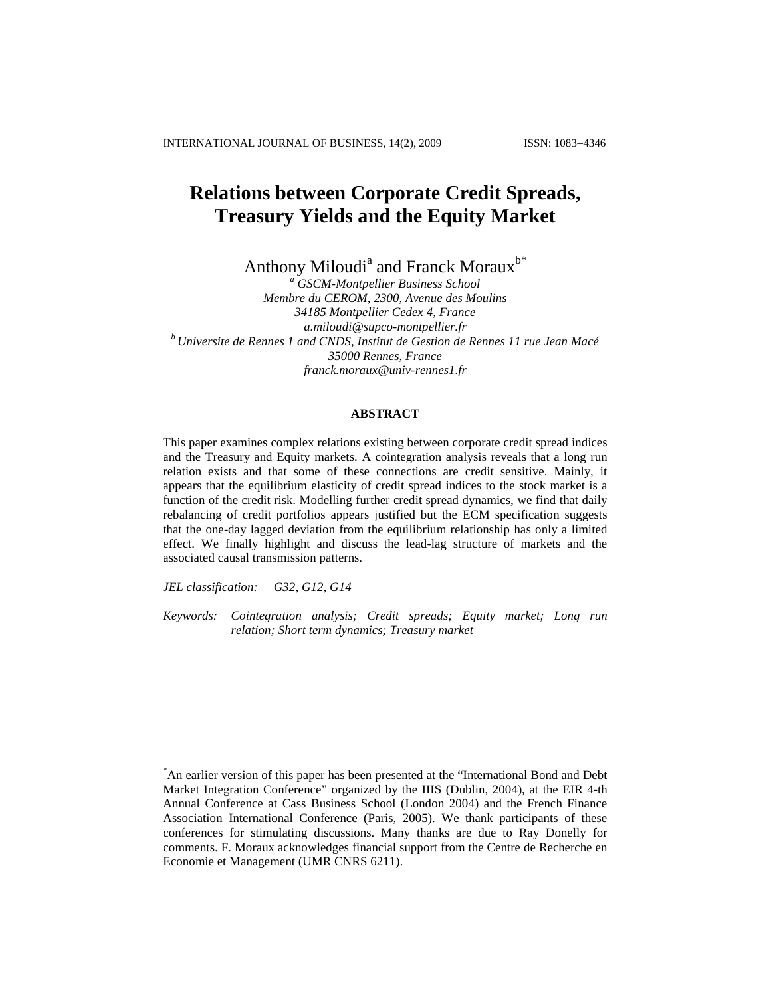INTERNATIONAL JOURNAL OF BUSINESS, 14(2), 2009 ISSN: 1083-4346

# **Relations between Corporate Credit Spreads, Treasury Yields and the Equity Market**

Anthony Miloudi<sup>a</sup> and Franck Moraux<sup>b\*</sup>

*<sup>a</sup> GSCM-Montpellier Business School Membre du CEROM, 2300, Avenue des Moulins 34185 Montpellier Cedex 4, France [a.miloudi@supco-montpellier.fr](mailto:a.miloudi@supco-montpellier.fr) <sup>b</sup> Universite de Rennes 1 and CNDS, Institut de Gestion de Rennes 11 rue Jean Macé 35000 Rennes, France [franck.moraux@univ-rennes1.fr](mailto:franck.moraux@univ-rennes1.fr)*

# **ABSTRACT**

This paper examines complex relations existing between corporate credit spread indices and the Treasury and Equity markets. A cointegration analysis reveals that a long run relation exists and that some of these connections are credit sensitive. Mainly, it appears that the equilibrium elasticity of credit spread indices to the stock market is a function of the credit risk. Modelling further credit spread dynamics, we find that daily rebalancing of credit portfolios appears justified but the ECM specification suggests that the one-day lagged deviation from the equilibrium relationship has only a limited effect. We finally highlight and discuss the lead-lag structure of markets and the associated causal transmission patterns.

*JEL classification: G32, G12, G14*

*Keywords: Cointegration analysis; Credit spreads; Equity market; Long run relation; Short term dynamics; Treasury market*

<sup>\*</sup>An earlier version of this paper has been presented at the "International Bond and Debt Market Integration Conference" organized by the IIIS (Dublin, 2004), at the EIR 4-th Annual Conference at Cass Business School (London 2004) and the French Finance Association International Conference (Paris, 2005). We thank participants of these conferences for stimulating discussions. Many thanks are due to Ray Donelly for comments. F. Moraux acknowledges financial support from the Centre de Recherche en Economie et Management (UMR CNRS 6211).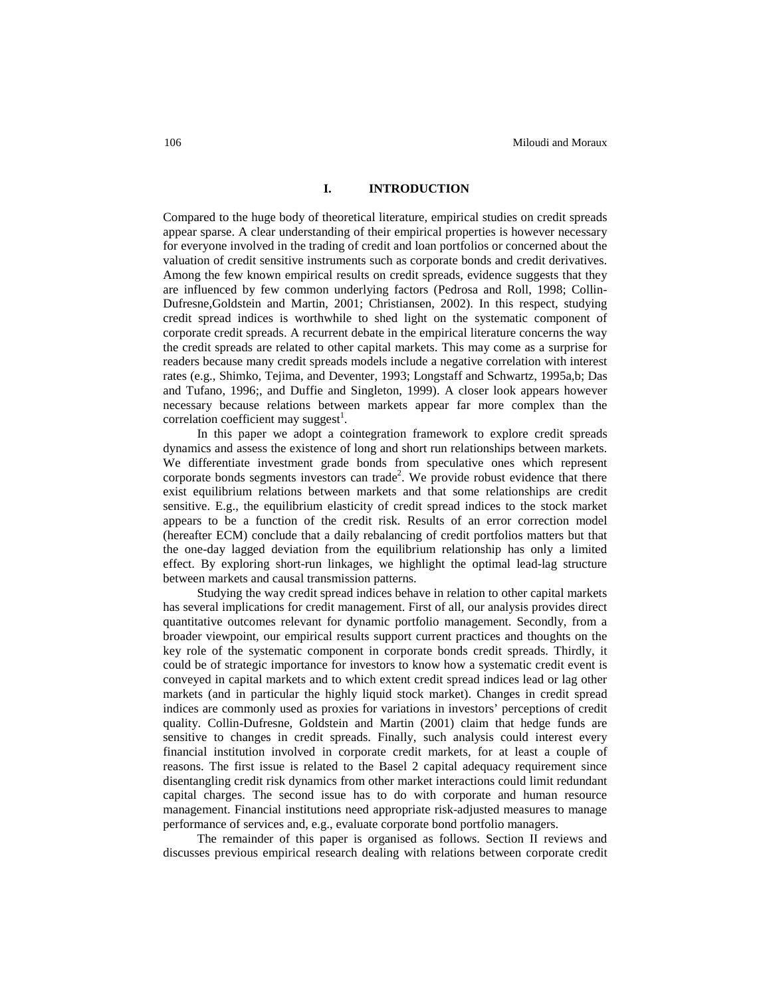# **I. INTRODUCTION**

Compared to the huge body of theoretical literature, empirical studies on credit spreads appear sparse. A clear understanding of their empirical properties is however necessary for everyone involved in the trading of credit and loan portfolios or concerned about the valuation of credit sensitive instruments such as corporate bonds and credit derivatives. Among the few known empirical results on credit spreads, evidence suggests that they are influenced by few common underlying factors (Pedrosa and Roll, 1998; Collin-Dufresne,Goldstein and Martin, 2001; Christiansen, 2002). In this respect, studying credit spread indices is worthwhile to shed light on the systematic component of corporate credit spreads. A recurrent debate in the empirical literature concerns the way the credit spreads are related to other capital markets. This may come as a surprise for readers because many credit spreads models include a negative correlation with interest rates (e.g., Shimko, Tejima, and Deventer, 1993; Longstaff and Schwartz, 1995a,b; Das and Tufano, 1996;, and Duffie and Singleton, 1999). A closer look appears however necessary because relations between markets appear far more complex than the correlation coefficient may suggest<sup>1</sup>.

In this paper we adopt a cointegration framework to explore credit spreads dynamics and assess the existence of long and short run relationships between markets. We differentiate investment grade bonds from speculative ones which represent corporate bonds segments investors can trade<sup>2</sup>. We provide robust evidence that there exist equilibrium relations between markets and that some relationships are credit sensitive. E.g., the equilibrium elasticity of credit spread indices to the stock market appears to be a function of the credit risk. Results of an error correction model (hereafter ECM) conclude that a daily rebalancing of credit portfolios matters but that the one-day lagged deviation from the equilibrium relationship has only a limited effect. By exploring short-run linkages, we highlight the optimal lead-lag structure between markets and causal transmission patterns.

Studying the way credit spread indices behave in relation to other capital markets has several implications for credit management. First of all, our analysis provides direct quantitative outcomes relevant for dynamic portfolio management. Secondly, from a broader viewpoint, our empirical results support current practices and thoughts on the key role of the systematic component in corporate bonds credit spreads. Thirdly, it could be of strategic importance for investors to know how a systematic credit event is conveyed in capital markets and to which extent credit spread indices lead or lag other markets (and in particular the highly liquid stock market). Changes in credit spread indices are commonly used as proxies for variations in investors' perceptions of credit quality. Collin-Dufresne, Goldstein and Martin (2001) claim that hedge funds are sensitive to changes in credit spreads. Finally, such analysis could interest every financial institution involved in corporate credit markets, for at least a couple of reasons. The first issue is related to the Basel 2 capital adequacy requirement since disentangling credit risk dynamics from other market interactions could limit redundant capital charges. The second issue has to do with corporate and human resource management. Financial institutions need appropriate risk-adjusted measures to manage performance of services and, e.g., evaluate corporate bond portfolio managers.

The remainder of this paper is organised as follows. Section II reviews and discusses previous empirical research dealing with relations between corporate credit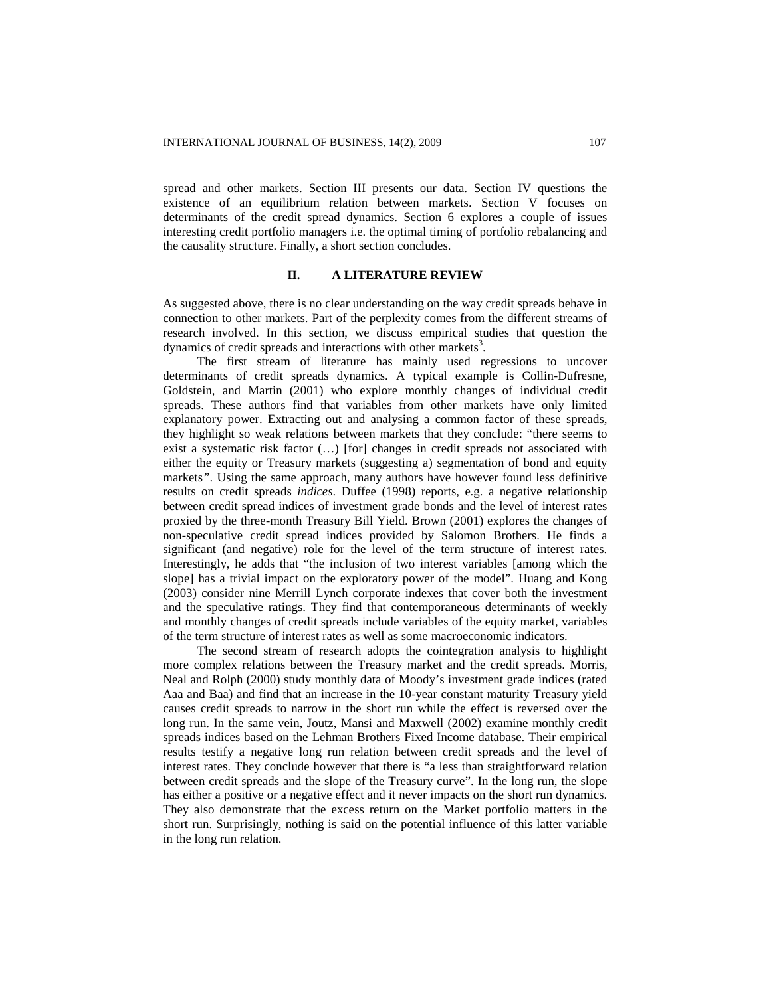spread and other markets. Section III presents our data. Section IV questions the existence of an equilibrium relation between markets. Section V focuses on determinants of the credit spread dynamics. Section 6 explores a couple of issues interesting credit portfolio managers i.e. the optimal timing of portfolio rebalancing and the causality structure. Finally, a short section concludes.

#### **II. A LITERATURE REVIEW**

As suggested above, there is no clear understanding on the way credit spreads behave in connection to other markets. Part of the perplexity comes from the different streams of research involved. In this section, we discuss empirical studies that question the dynamics of credit spreads and interactions with other markets<sup>3</sup>.

The first stream of literature has mainly used regressions to uncover determinants of credit spreads dynamics. A typical example is Collin-Dufresne, Goldstein, and Martin (2001) who explore monthly changes of individual credit spreads. These authors find that variables from other markets have only limited explanatory power. Extracting out and analysing a common factor of these spreads, they highlight so weak relations between markets that they conclude: "there seems to exist a systematic risk factor (…) [for] changes in credit spreads not associated with either the equity or Treasury markets (suggesting a) segmentation of bond and equity markets*"*. Using the same approach, many authors have however found less definitive results on credit spreads *indices*. Duffee (1998) reports, e.g. a negative relationship between credit spread indices of investment grade bonds and the level of interest rates proxied by the three-month Treasury Bill Yield. Brown (2001) explores the changes of non-speculative credit spread indices provided by Salomon Brothers. He finds a significant (and negative) role for the level of the term structure of interest rates. Interestingly, he adds that "the inclusion of two interest variables [among which the slope] has a trivial impact on the exploratory power of the model". Huang and Kong (2003) consider nine Merrill Lynch corporate indexes that cover both the investment and the speculative ratings. They find that contemporaneous determinants of weekly and monthly changes of credit spreads include variables of the equity market, variables of the term structure of interest rates as well as some macroeconomic indicators.

The second stream of research adopts the cointegration analysis to highlight more complex relations between the Treasury market and the credit spreads. Morris, Neal and Rolph (2000) study monthly data of Moody's investment grade indices (rated Aaa and Baa) and find that an increase in the 10-year constant maturity Treasury yield causes credit spreads to narrow in the short run while the effect is reversed over the long run. In the same vein, Joutz, Mansi and Maxwell (2002) examine monthly credit spreads indices based on the Lehman Brothers Fixed Income database. Their empirical results testify a negative long run relation between credit spreads and the level of interest rates. They conclude however that there is "a less than straightforward relation between credit spreads and the slope of the Treasury curve". In the long run, the slope has either a positive or a negative effect and it never impacts on the short run dynamics. They also demonstrate that the excess return on the Market portfolio matters in the short run. Surprisingly, nothing is said on the potential influence of this latter variable in the long run relation.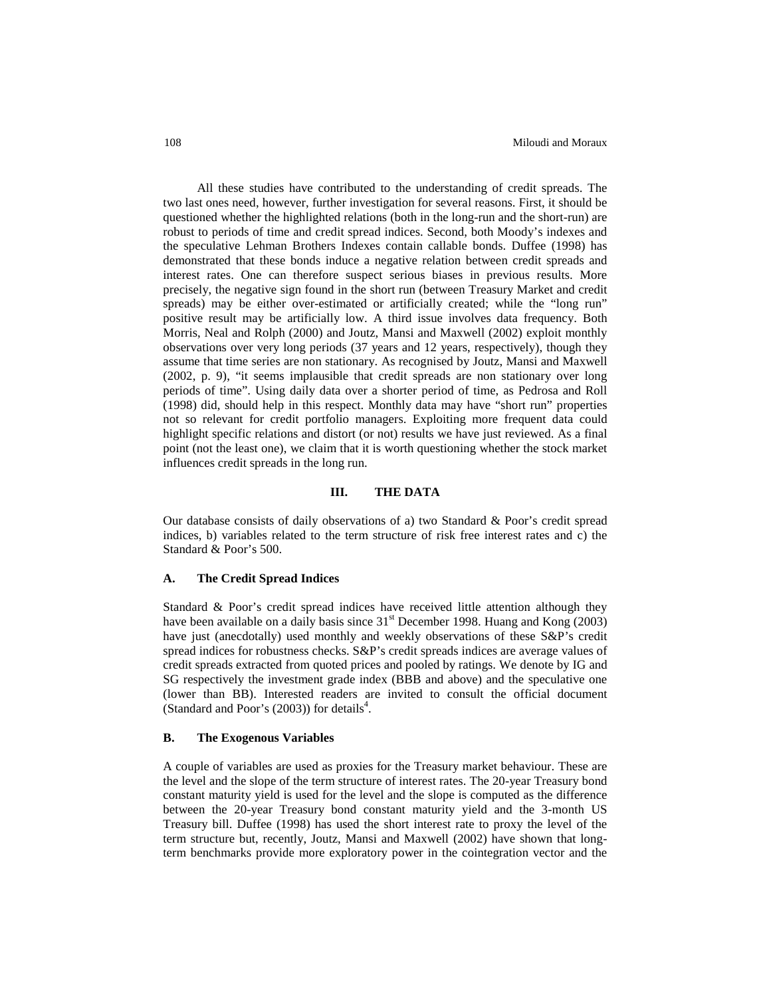All these studies have contributed to the understanding of credit spreads. The two last ones need, however, further investigation for several reasons. First, it should be questioned whether the highlighted relations (both in the long-run and the short-run) are robust to periods of time and credit spread indices. Second, both Moody's indexes and the speculative Lehman Brothers Indexes contain callable bonds. Duffee (1998) has demonstrated that these bonds induce a negative relation between credit spreads and interest rates. One can therefore suspect serious biases in previous results. More precisely, the negative sign found in the short run (between Treasury Market and credit spreads) may be either over-estimated or artificially created; while the "long run" positive result may be artificially low. A third issue involves data frequency. Both Morris, Neal and Rolph (2000) and Joutz, Mansi and Maxwell (2002) exploit monthly observations over very long periods (37 years and 12 years, respectively), though they assume that time series are non stationary. As recognised by Joutz, Mansi and Maxwell (2002, p. 9), "it seems implausible that credit spreads are non stationary over long periods of time". Using daily data over a shorter period of time, as Pedrosa and Roll (1998) did, should help in this respect. Monthly data may have "short run" properties not so relevant for credit portfolio managers. Exploiting more frequent data could highlight specific relations and distort (or not) results we have just reviewed. As a final point (not the least one), we claim that it is worth questioning whether the stock market influences credit spreads in the long run.

# **III. THE DATA**

Our database consists of daily observations of a) two Standard & Poor's credit spread indices, b) variables related to the term structure of risk free interest rates and c) the Standard & Poor's 500.

# **A. The Credit Spread Indices**

Standard & Poor's credit spread indices have received little attention although they have been available on a daily basis since 31<sup>st</sup> December 1998. Huang and Kong (2003) have just (anecdotally) used monthly and weekly observations of these S&P's credit spread indices for robustness checks. S&P's credit spreads indices are average values of credit spreads extracted from quoted prices and pooled by ratings. We denote by IG and SG respectively the investment grade index (BBB and above) and the speculative one (lower than BB). Interested readers are invited to consult the official document (Standard and Poor's  $(2003)$ ) for details<sup>4</sup>.

#### **B. The Exogenous Variables**

A couple of variables are used as proxies for the Treasury market behaviour. These are the level and the slope of the term structure of interest rates. The 20-year Treasury bond constant maturity yield is used for the level and the slope is computed as the difference between the 20-year Treasury bond constant maturity yield and the 3-month US Treasury bill. Duffee (1998) has used the short interest rate to proxy the level of the term structure but, recently, Joutz, Mansi and Maxwell (2002) have shown that longterm benchmarks provide more exploratory power in the cointegration vector and the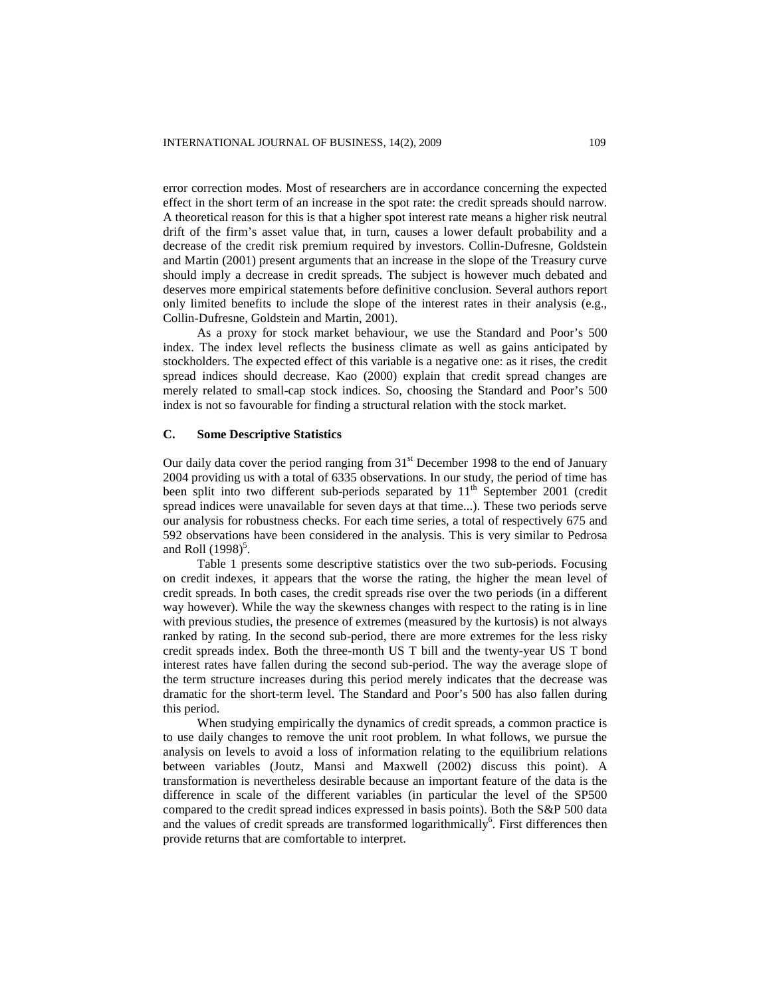error correction modes. Most of researchers are in accordance concerning the expected effect in the short term of an increase in the spot rate: the credit spreads should narrow. A theoretical reason for this is that a higher spot interest rate means a higher risk neutral drift of the firm's asset value that, in turn, causes a lower default probability and a decrease of the credit risk premium required by investors. Collin-Dufresne, Goldstein and Martin (2001) present arguments that an increase in the slope of the Treasury curve should imply a decrease in credit spreads. The subject is however much debated and deserves more empirical statements before definitive conclusion. Several authors report only limited benefits to include the slope of the interest rates in their analysis (e.g., Collin-Dufresne, Goldstein and Martin, 2001).

As a proxy for stock market behaviour, we use the Standard and Poor's 500 index. The index level reflects the business climate as well as gains anticipated by stockholders. The expected effect of this variable is a negative one: as it rises, the credit spread indices should decrease. Kao (2000) explain that credit spread changes are merely related to small-cap stock indices. So, choosing the Standard and Poor's 500 index is not so favourable for finding a structural relation with the stock market.

#### **C. Some Descriptive Statistics**

Our daily data cover the period ranging from 31<sup>st</sup> December 1998 to the end of January 2004 providing us with a total of 6335 observations. In our study, the period of time has been split into two different sub-periods separated by 11<sup>th</sup> September 2001 (credit spread indices were unavailable for seven days at that time...). These two periods serve our analysis for robustness checks. For each time series, a total of respectively 675 and 592 observations have been considered in the analysis. This is very similar to Pedrosa and Roll  $(1998)^5$ .

Table 1 presents some descriptive statistics over the two sub-periods. Focusing on credit indexes, it appears that the worse the rating, the higher the mean level of credit spreads. In both cases, the credit spreads rise over the two periods (in a different way however). While the way the skewness changes with respect to the rating is in line with previous studies, the presence of extremes (measured by the kurtosis) is not always ranked by rating. In the second sub-period, there are more extremes for the less risky credit spreads index. Both the three-month US T bill and the twenty-year US T bond interest rates have fallen during the second sub-period. The way the average slope of the term structure increases during this period merely indicates that the decrease was dramatic for the short-term level. The Standard and Poor's 500 has also fallen during this period.

When studying empirically the dynamics of credit spreads, a common practice is to use daily changes to remove the unit root problem. In what follows, we pursue the analysis on levels to avoid a loss of information relating to the equilibrium relations between variables (Joutz, Mansi and Maxwell (2002) discuss this point). A transformation is nevertheless desirable because an important feature of the data is the difference in scale of the different variables (in particular the level of the SP500 compared to the credit spread indices expressed in basis points). Both the S&P 500 data and the values of credit spreads are transformed logarithmically<sup>6</sup>. First differences then provide returns that are comfortable to interpret.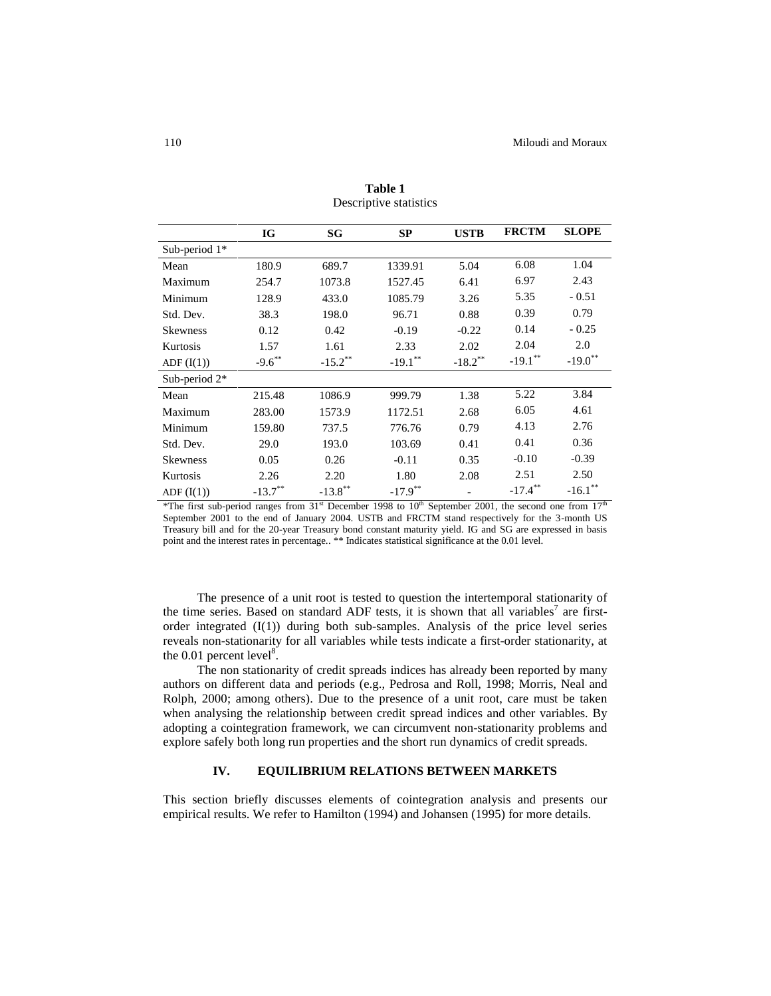|                 | IG                    | SG                    | <b>SP</b>             | <b>USTB</b>           | <b>FRCTM</b> | <b>SLOPE</b>          |
|-----------------|-----------------------|-----------------------|-----------------------|-----------------------|--------------|-----------------------|
| Sub-period $1*$ |                       |                       |                       |                       |              |                       |
| Mean            | 180.9                 | 689.7                 | 1339.91               | 5.04                  | 6.08         | 1.04                  |
| Maximum         | 254.7                 | 1073.8                | 1527.45               | 6.41                  | 6.97         | 2.43                  |
| Minimum         | 128.9                 | 433.0                 | 1085.79               | 3.26                  | 5.35         | $-0.51$               |
| Std. Dev.       | 38.3                  | 198.0                 | 96.71                 | 0.88                  | 0.39         | 0.79                  |
| <b>Skewness</b> | 0.12                  | 0.42                  | $-0.19$               | $-0.22$               | 0.14         | $-0.25$               |
| Kurtosis        | 1.57                  | 1.61                  | 2.33                  | 2.02                  | 2.04         | 2.0                   |
| ADF(I(1))       | $-9.6$ **             | $-15.2$ **            | $-19.1$ <sup>**</sup> | $-18.2$ <sup>**</sup> | $-19.1$ **   | $-19.0$ <sup>**</sup> |
| Sub-period 2*   |                       |                       |                       |                       |              |                       |
| Mean            | 215.48                | 1086.9                | 999.79                | 1.38                  | 5.22         | 3.84                  |
| Maximum         | 283.00                | 1573.9                | 1172.51               | 2.68                  | 6.05         | 4.61                  |
| Minimum         | 159.80                | 737.5                 | 776.76                | 0.79                  | 4.13         | 2.76                  |
| Std. Dev.       | 29.0                  | 193.0                 | 103.69                | 0.41                  | 0.41         | 0.36                  |
| <b>Skewness</b> | 0.05                  | 0.26                  | $-0.11$               | 0.35                  | $-0.10$      | $-0.39$               |
| Kurtosis        | 2.26                  | 2.20                  | 1.80                  | 2.08                  | 2.51         | 2.50                  |
| ADF(I(1))       | $-13.7$ <sup>**</sup> | $-13.8$ <sup>**</sup> | $-17.9$ <sup>**</sup> |                       | $-17.4$ **   | $-16.1$ <sup>*</sup>  |

**Table 1** Descriptive statistics

\*The first sub-period ranges from  $31<sup>st</sup>$  December 1998 to 10<sup>th</sup> September 2001, the second one from  $17<sup>th</sup>$ September 2001 to the end of January 2004. USTB and FRCTM stand respectively for the 3-month US Treasury bill and for the 20-year Treasury bond constant maturity yield. IG and SG are expressed in basis point and the interest rates in percentage.. \*\* Indicates statistical significance at the 0.01 level.

The presence of a unit root is tested to question the intertemporal stationarity of the time series. Based on standard ADF tests, it is shown that all variables<sup>7</sup> are firstorder integrated  $(I(1))$  during both sub-samples. Analysis of the price level series reveals non-stationarity for all variables while tests indicate a first-order stationarity, at the  $0.01$  percent level<sup>8</sup>.

The non stationarity of credit spreads indices has already been reported by many authors on different data and periods (e.g., Pedrosa and Roll, 1998; Morris, Neal and Rolph, 2000; among others). Due to the presence of a unit root, care must be taken when analysing the relationship between credit spread indices and other variables. By adopting a cointegration framework, we can circumvent non-stationarity problems and explore safely both long run properties and the short run dynamics of credit spreads.

# **IV. EQUILIBRIUM RELATIONS BETWEEN MARKETS**

This section briefly discusses elements of cointegration analysis and presents our empirical results. We refer to Hamilton (1994) and Johansen (1995) for more details.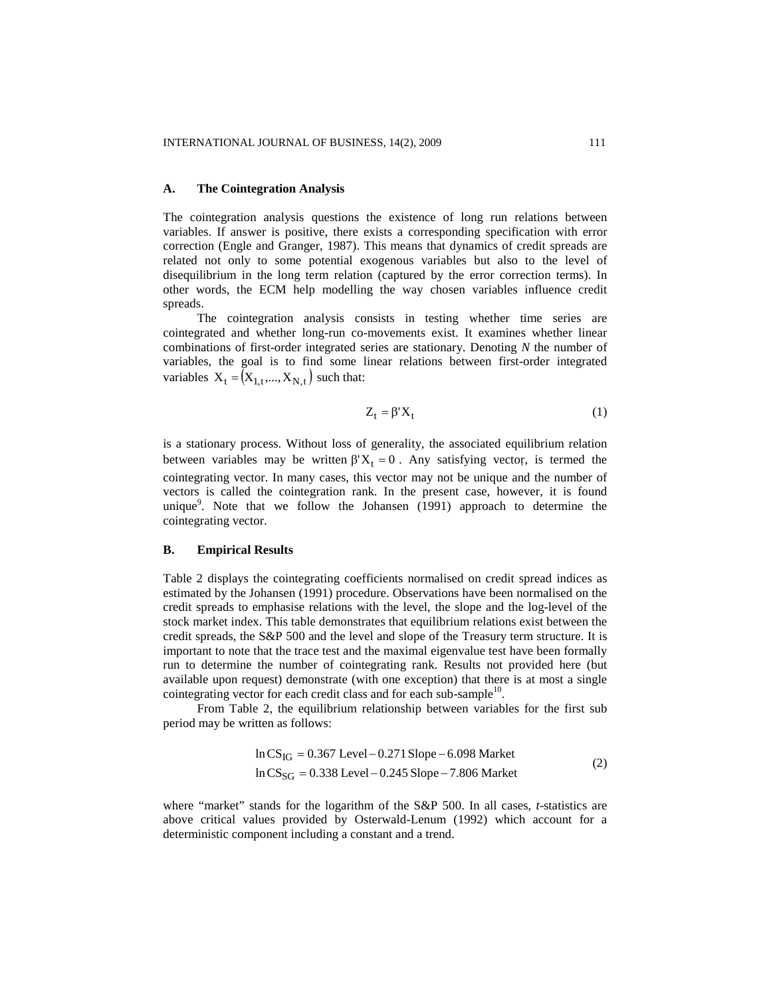#### **A. The Cointegration Analysis**

The cointegration analysis questions the existence of long run relations between variables. If answer is positive, there exists a corresponding specification with error correction (Engle and Granger, 1987). This means that dynamics of credit spreads are related not only to some potential exogenous variables but also to the level of disequilibrium in the long term relation (captured by the error correction terms). In other words, the ECM help modelling the way chosen variables influence credit spreads.

The cointegration analysis consists in testing whether time series are cointegrated and whether long-run co-movements exist. It examines whether linear combinations of first-order integrated series are stationary. Denoting *N* the number of variables, the goal is to find some linear relations between first-order integrated variables  $X_t = (X_{1,t},..., X_{N,t})$  such that:

$$
Z_t = \beta' X_t \tag{1}
$$

is a stationary process. Without loss of generality, the associated equilibrium relation between variables may be written  $\beta'X_t = 0$ . Any satisfying vector, is termed the cointegrating vector. In many cases, this vector may not be unique and the number of vectors is called the cointegration rank. In the present case, however, it is found unique<sup>9</sup>. Note that we follow the Johansen (1991) approach to determine the cointegrating vector.

# **B. Empirical Results**

Table 2 displays the cointegrating coefficients normalised on credit spread indices as estimated by the Johansen (1991) procedure. Observations have been normalised on the credit spreads to emphasise relations with the level, the slope and the log-level of the stock market index. This table demonstrates that equilibrium relations exist between the credit spreads, the S&P 500 and the level and slope of the Treasury term structure. It is important to note that the trace test and the maximal eigenvalue test have been formally run to determine the number of cointegrating rank. Results not provided here (but available upon request) demonstrate (with one exception) that there is at most a single cointegrating vector for each credit class and for each sub-sample<sup>10</sup>.

From Table 2, the equilibrium relationship between variables for the first sub period may be written as follows:

$$
\ln CS_{IG} = 0.367 \text{ Level} - 0.271 \text{ Slope} - 6.098 \text{ Market}
$$
  

$$
\ln CS_{SG} = 0.338 \text{ Level} - 0.245 \text{ Slope} - 7.806 \text{ Market}
$$
 (2)

where "market" stands for the logarithm of the S&P 500. In all cases, *t*-statistics are above critical values provided by Osterwald-Lenum (1992) which account for a deterministic component including a constant and a trend.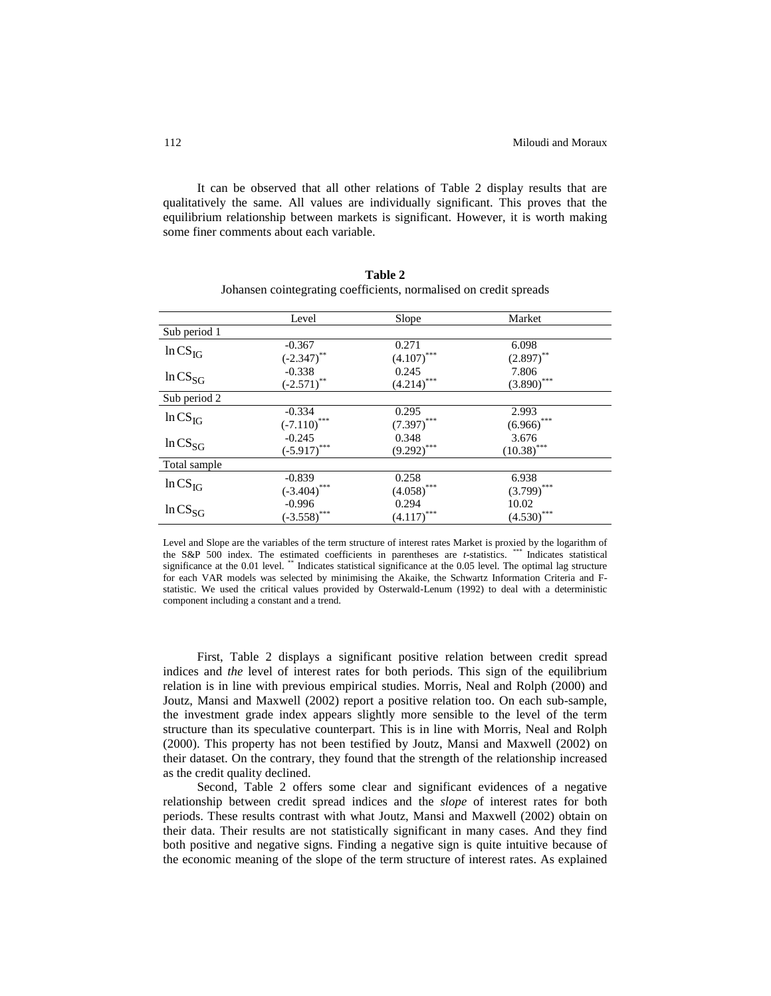It can be observed that all other relations of Table 2 display results that are qualitatively the same. All values are individually significant. This proves that the equilibrium relationship between markets is significant. However, it is worth making some finer comments about each variable.

|              | Level                       | Slope                       | Market         |  |
|--------------|-----------------------------|-----------------------------|----------------|--|
| Sub period 1 |                             |                             |                |  |
| $ln CS_{IG}$ | $-0.367$                    | 0.271                       | 6.098          |  |
|              | $(-2.347)$ **               | $(4.107)$ ***               | $(2.897)$ **   |  |
| $ln CS_{SG}$ | $-0.338$                    | 0.245                       | 7.806          |  |
|              | $(-2.571)$ **               | $\underline{(4.214)}^{***}$ | $(3.890)$ ***  |  |
| Sub period 2 |                             |                             |                |  |
| $ln CS_{IG}$ | $-0.334$                    | 0.295                       | 2.993          |  |
|              | $(-7.110)$ ***              | $(7.397)$ ***               | $(6.966)$ ***  |  |
| $ln CS_{SG}$ | $-0.245$                    | 0.348                       | 3.676          |  |
|              | $(-5.917)$ ***              | $(9.292)$ ***               | $(10.38)$ ***  |  |
| Total sample |                             |                             |                |  |
| $ln CS_{IG}$ | $-0.839$                    | 0.258                       | 6.938          |  |
|              | $(-3.404)$ ***              | $(4.058)$ ***               | $(3.799)$ ***  |  |
| $ln CS_{SG}$ | $-0.996$                    | 0.294                       | 10.02          |  |
|              | $\overline{(-3.558)}^{***}$ | ***<br>(4.117)              | ***<br>(4.530) |  |

**Table 2** Johansen cointegrating coefficients, normalised on credit spreads

Level and Slope are the variables of the term structure of interest rates Market is proxied by the logarithm of the S&P 500 index. The estimated coefficients in parentheses are *t*-statistics. \*\*\* Indicates statistical significance at the 0.01 level. \*\* Indicates statistical significance at the 0.05 level. The optimal lag structure for each VAR models was selected by minimising the Akaike, the Schwartz Information Criteria and Fstatistic. We used the critical values provided by Osterwald-Lenum (1992) to deal with a deterministic component including a constant and a trend.

First, Table 2 displays a significant positive relation between credit spread indices and *the* level of interest rates for both periods. This sign of the equilibrium relation is in line with previous empirical studies. Morris, Neal and Rolph (2000) and Joutz, Mansi and Maxwell (2002) report a positive relation too. On each sub-sample, the investment grade index appears slightly more sensible to the level of the term structure than its speculative counterpart. This is in line with Morris, Neal and Rolph (2000). This property has not been testified by Joutz, Mansi and Maxwell (2002) on their dataset. On the contrary, they found that the strength of the relationship increased as the credit quality declined.

Second, Table 2 offers some clear and significant evidences of a negative relationship between credit spread indices and the *slope* of interest rates for both periods. These results contrast with what Joutz, Mansi and Maxwell (2002) obtain on their data. Their results are not statistically significant in many cases. And they find both positive and negative signs. Finding a negative sign is quite intuitive because of the economic meaning of the slope of the term structure of interest rates. As explained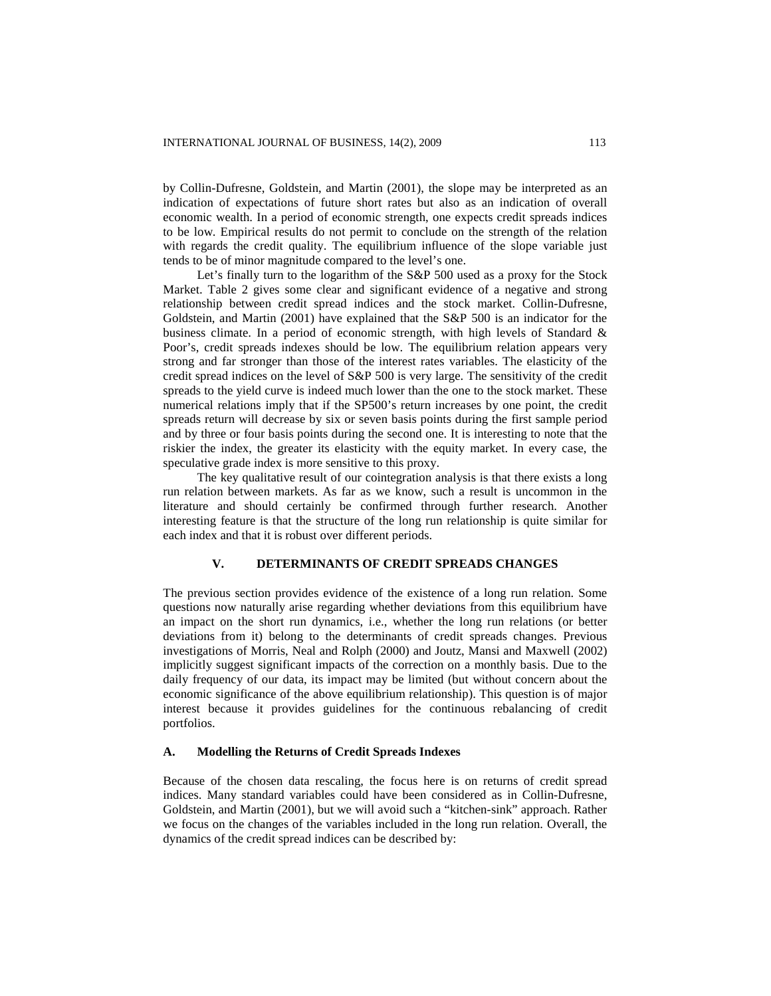by Collin-Dufresne, Goldstein, and Martin (2001), the slope may be interpreted as an indication of expectations of future short rates but also as an indication of overall economic wealth. In a period of economic strength, one expects credit spreads indices to be low. Empirical results do not permit to conclude on the strength of the relation with regards the credit quality. The equilibrium influence of the slope variable just tends to be of minor magnitude compared to the level's one.

Let's finally turn to the logarithm of the S&P 500 used as a proxy for the Stock Market. Table 2 gives some clear and significant evidence of a negative and strong relationship between credit spread indices and the stock market. Collin-Dufresne, Goldstein, and Martin (2001) have explained that the S&P 500 is an indicator for the business climate. In a period of economic strength, with high levels of Standard & Poor's, credit spreads indexes should be low. The equilibrium relation appears very strong and far stronger than those of the interest rates variables. The elasticity of the credit spread indices on the level of S&P 500 is very large. The sensitivity of the credit spreads to the yield curve is indeed much lower than the one to the stock market. These numerical relations imply that if the SP500's return increases by one point, the credit spreads return will decrease by six or seven basis points during the first sample period and by three or four basis points during the second one. It is interesting to note that the riskier the index, the greater its elasticity with the equity market. In every case, the speculative grade index is more sensitive to this proxy.

The key qualitative result of our cointegration analysis is that there exists a long run relation between markets. As far as we know, such a result is uncommon in the literature and should certainly be confirmed through further research. Another interesting feature is that the structure of the long run relationship is quite similar for each index and that it is robust over different periods.

#### **V. DETERMINANTS OF CREDIT SPREADS CHANGES**

The previous section provides evidence of the existence of a long run relation. Some questions now naturally arise regarding whether deviations from this equilibrium have an impact on the short run dynamics, i.e., whether the long run relations (or better deviations from it) belong to the determinants of credit spreads changes. Previous investigations of Morris, Neal and Rolph (2000) and Joutz, Mansi and Maxwell (2002) implicitly suggest significant impacts of the correction on a monthly basis. Due to the daily frequency of our data, its impact may be limited (but without concern about the economic significance of the above equilibrium relationship). This question is of major interest because it provides guidelines for the continuous rebalancing of credit portfolios.

#### **A. Modelling the Returns of Credit Spreads Indexes**

Because of the chosen data rescaling, the focus here is on returns of credit spread indices. Many standard variables could have been considered as in Collin-Dufresne, Goldstein, and Martin (2001), but we will avoid such a "kitchen-sink" approach. Rather we focus on the changes of the variables included in the long run relation. Overall, the dynamics of the credit spread indices can be described by: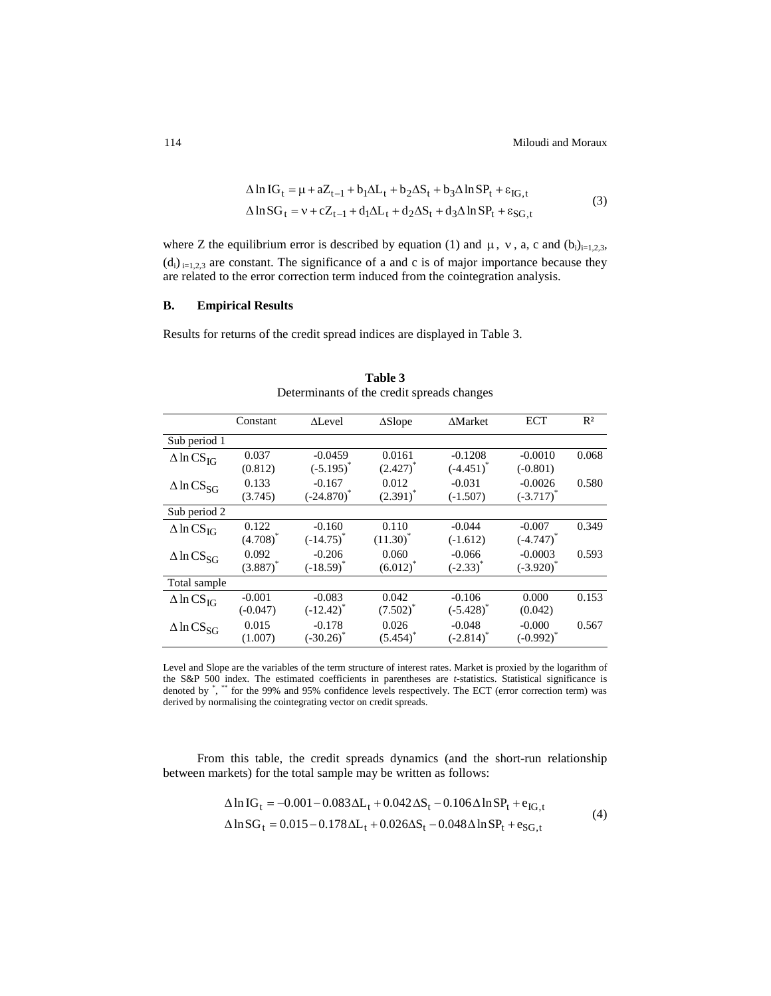$$
\Delta \ln IG_{t} = \mu + aZ_{t-1} + b_{1}\Delta L_{t} + b_{2}\Delta S_{t} + b_{3}\Delta \ln SP_{t} + \varepsilon_{IG,t}
$$
  

$$
\Delta \ln SG_{t} = v + cZ_{t-1} + d_{1}\Delta L_{t} + d_{2}\Delta S_{t} + d_{3}\Delta \ln SP_{t} + \varepsilon_{SG,t}
$$
 (3)

where Z the equilibrium error is described by equation (1) and  $\mu$ , v, a, c and (b<sub>i</sub>)<sub>i=1,2,3</sub>,  $(d_i)_{i=1,2,3}$  are constant. The significance of a and c is of major importance because they are related to the error correction term induced from the cointegration analysis.

# **B. Empirical Results**

Results for returns of the credit spread indices are displayed in Table 3.

|                                 | Constant    | $\Delta$ Level | $\Delta$ Slope | ∆Market        | <b>ECT</b>     | $R^2$ |
|---------------------------------|-------------|----------------|----------------|----------------|----------------|-------|
| Sub period 1                    |             |                |                |                |                |       |
| $\triangle$ ln CS <sub>IG</sub> | 0.037       | $-0.0459$      | 0.0161         | $-0.1208$      | $-0.0010$      | 0.068 |
|                                 | (0.812)     | $(-5.195)^{*}$ | $(2.427)^{*}$  | $(-4.451)^{*}$ | $(-0.801)$     |       |
| $\triangle$ ln CS <sub>SG</sub> | 0.133       | $-0.167$       | 0.012          | $-0.031$       | $-0.0026$      | 0.580 |
|                                 | (3.745)     | $(-24.870)^*$  | $(2.391)^*$    | $(-1.507)$     | $(-3.717)^{*}$ |       |
| Sub period $\overline{2}$       |             |                |                |                |                |       |
| $\triangle$ ln CS <sub>IG</sub> | 0.122       | $-0.160$       | 0.110          | $-0.044$       | $-0.007$       | 0.349 |
|                                 | $(4.708)^*$ | $(-14.75)^{*}$ | $(11.30)^{*}$  | $(-1.612)$     | $(-4.747)^{*}$ |       |
| $\triangle$ ln CS <sub>SG</sub> | 0.092       | $-0.206$       | 0.060          | $-0.066$       | $-0.0003$      | 0.593 |
|                                 | $(3.887)^*$ | $(-18.59)^*$   | $(6.012)^*$    | $(-2.33)^{*}$  | $(-3.920)^*$   |       |
| Total sample                    |             |                |                |                |                |       |
| $\triangle$ ln CS <sub>IG</sub> | $-0.001$    | $-0.083$       | 0.042          | $-0.106$       | 0.000          | 0.153 |
|                                 | $(-0.047)$  | $(-12.42)^{*}$ | $(7.502)^*$    | $(-5.428)^*$   | (0.042)        |       |
| $\Delta$ ln CS <sub>SG</sub>    | 0.015       | $-0.178$       | 0.026          | $-0.048$       | $-0.000$       | 0.567 |
|                                 | (1.007)     | $(-30.26)^*$   | $(5.454)^*$    | $(-2.814)^*$   | $(-0.992)^{*}$ |       |

**Table 3** Determinants of the credit spreads changes

Level and Slope are the variables of the term structure of interest rates. Market is proxied by the logarithm of the S&P 500 index. The estimated coefficients in parentheses are *t*-statistics. Statistical significance is denoted by \*, \*\* for the 99% and 95% confidence levels respectively. The ECT (error correction term) was derived by normalising the cointegrating vector on credit spreads.

From this table, the credit spreads dynamics (and the short-run relationship between markets) for the total sample may be written as follows:

$$
\Delta \ln IG_{t} = -0.001 - 0.083 \Delta L_{t} + 0.042 \Delta S_{t} - 0.106 \Delta \ln SP_{t} + e_{IG,t}
$$
  
\n
$$
\Delta \ln SG_{t} = 0.015 - 0.178 \Delta L_{t} + 0.026 \Delta S_{t} - 0.048 \Delta \ln SP_{t} + e_{SG,t}
$$
\n(4)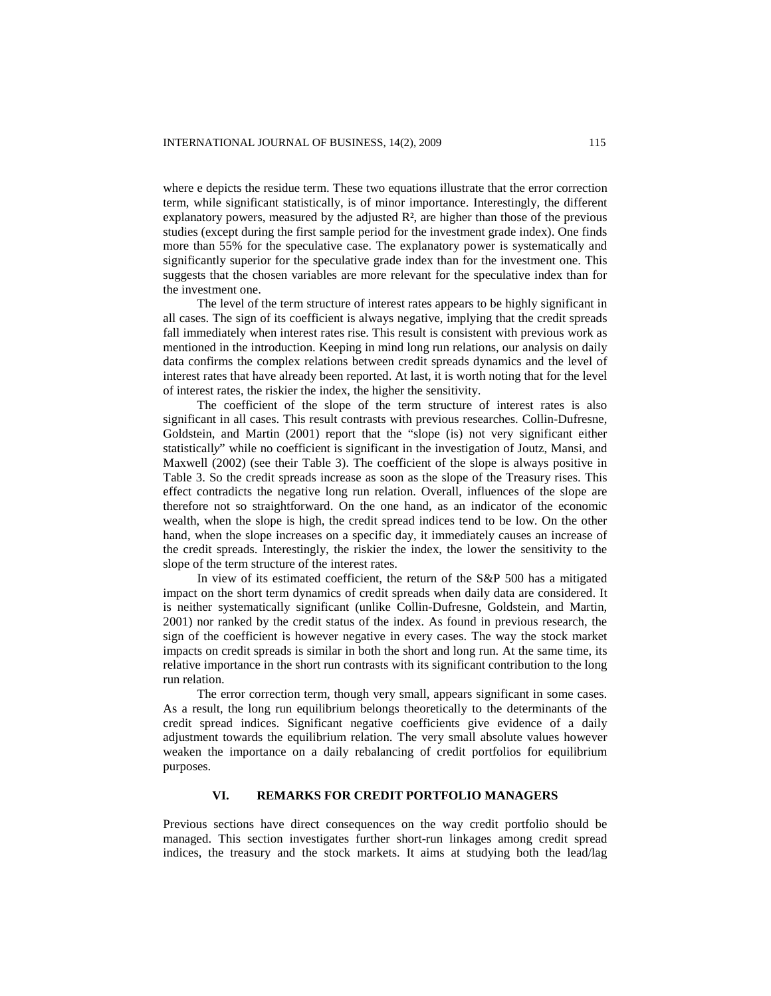where e depicts the residue term. These two equations illustrate that the error correction term, while significant statistically, is of minor importance. Interestingly, the different explanatory powers, measured by the adjusted  $\mathbb{R}^2$ , are higher than those of the previous studies (except during the first sample period for the investment grade index). One finds more than 55% for the speculative case. The explanatory power is systematically and significantly superior for the speculative grade index than for the investment one. This suggests that the chosen variables are more relevant for the speculative index than for the investment one.

The level of the term structure of interest rates appears to be highly significant in all cases. The sign of its coefficient is always negative, implying that the credit spreads fall immediately when interest rates rise. This result is consistent with previous work as mentioned in the introduction. Keeping in mind long run relations, our analysis on daily data confirms the complex relations between credit spreads dynamics and the level of interest rates that have already been reported. At last, it is worth noting that for the level of interest rates, the riskier the index, the higher the sensitivity.

The coefficient of the slope of the term structure of interest rates is also significant in all cases. This result contrasts with previous researches. Collin-Dufresne, Goldstein, and Martin (2001) report that the "slope (is) not very significant either statisticall*y*" while no coefficient is significant in the investigation of Joutz, Mansi, and Maxwell (2002) (see their Table 3). The coefficient of the slope is always positive in Table 3. So the credit spreads increase as soon as the slope of the Treasury rises. This effect contradicts the negative long run relation. Overall, influences of the slope are therefore not so straightforward. On the one hand, as an indicator of the economic wealth, when the slope is high, the credit spread indices tend to be low. On the other hand, when the slope increases on a specific day, it immediately causes an increase of the credit spreads. Interestingly, the riskier the index, the lower the sensitivity to the slope of the term structure of the interest rates.

In view of its estimated coefficient, the return of the S&P 500 has a mitigated impact on the short term dynamics of credit spreads when daily data are considered. It is neither systematically significant (unlike Collin-Dufresne, Goldstein, and Martin, 2001) nor ranked by the credit status of the index. As found in previous research, the sign of the coefficient is however negative in every cases. The way the stock market impacts on credit spreads is similar in both the short and long run. At the same time, its relative importance in the short run contrasts with its significant contribution to the long run relation.

The error correction term, though very small, appears significant in some cases. As a result, the long run equilibrium belongs theoretically to the determinants of the credit spread indices. Significant negative coefficients give evidence of a daily adjustment towards the equilibrium relation. The very small absolute values however weaken the importance on a daily rebalancing of credit portfolios for equilibrium purposes.

# **VI. REMARKS FOR CREDIT PORTFOLIO MANAGERS**

Previous sections have direct consequences on the way credit portfolio should be managed. This section investigates further short-run linkages among credit spread indices, the treasury and the stock markets. It aims at studying both the lead/lag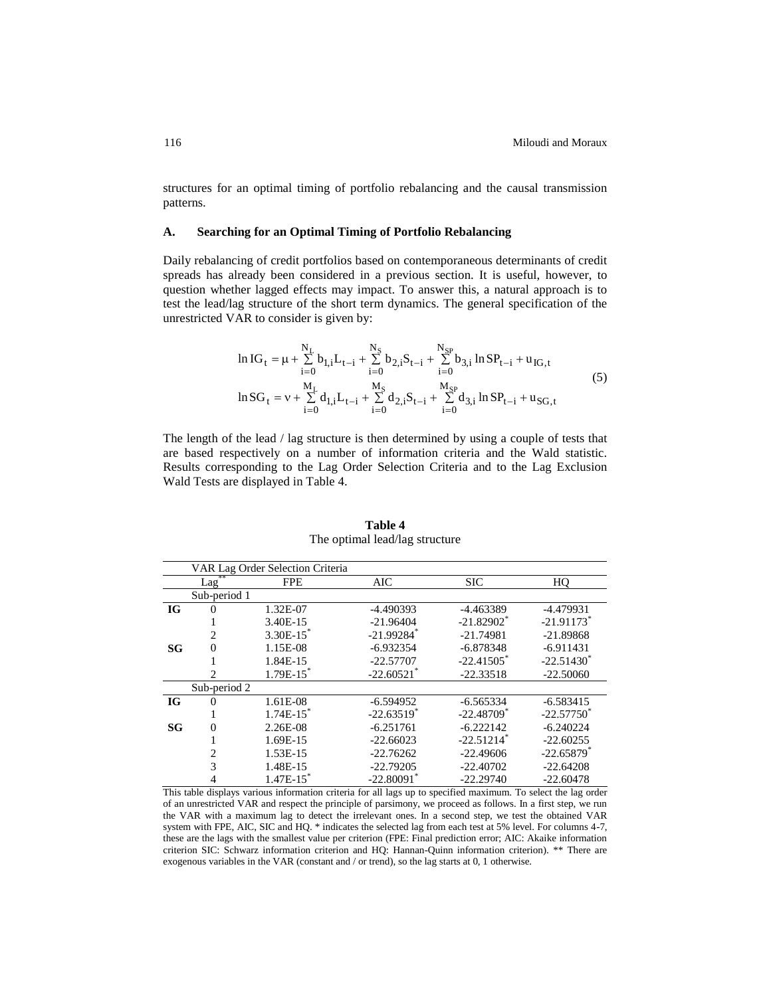structures for an optimal timing of portfolio rebalancing and the causal transmission patterns.

#### **A. Searching for an Optimal Timing of Portfolio Rebalancing**

Daily rebalancing of credit portfolios based on contemporaneous determinants of credit spreads has already been considered in a previous section. It is useful, however, to question whether lagged effects may impact. To answer this, a natural approach is to test the lead/lag structure of the short term dynamics. The general specification of the unrestricted VAR to consider is given by:

$$
\ln IG_{t} = \mu + \sum_{i=0}^{N_{L}} b_{1,i} L_{t-i} + \sum_{i=0}^{N_{S}} b_{2,i} S_{t-i} + \sum_{i=0}^{N_{SP}} b_{3,i} \ln SP_{t-i} + u_{IG,t}
$$
\n
$$
\ln SG_{t} = v + \sum_{i=0}^{M_{L}} d_{1,i} L_{t-i} + \sum_{i=0}^{M_{S}} d_{2,i} S_{t-i} + \sum_{i=0}^{M_{SP}} d_{3,i} \ln SP_{t-i} + u_{SG,t}
$$
\n(5)

The length of the lead / lag structure is then determined by using a couple of tests that are based respectively on a number of information criteria and the Wald statistic. Results corresponding to the Lag Order Selection Criteria and to the Lag Exclusion Wald Tests are displayed in Table 4.

|           |                | VAR Lag Order Selection Criteria |                          |                          |                          |
|-----------|----------------|----------------------------------|--------------------------|--------------------------|--------------------------|
|           | Lag            | <b>FPE</b>                       | AIC                      | <b>SIC</b>               | HO                       |
|           | Sub-period 1   |                                  |                          |                          |                          |
| <b>IG</b> | $\Omega$       | 1.32E-07                         | $-4.490393$              | -4.463389                | $-4.479931$              |
|           |                | 3.40E-15                         | $-21.96404$              | $-21.82902$ <sup>*</sup> | $-21.91173$ <sup>*</sup> |
|           | $\overline{c}$ | $3.30E-15$ <sup>*</sup>          | $-21.99284$ <sup>*</sup> | $-21.74981$              | $-21.89868$              |
| <b>SG</b> | $\overline{0}$ | 1.15E-08                         | $-6.932354$              | $-6.878348$              | $-6.911431$              |
|           |                | 1.84E-15                         | $-22.57707$              | $-22.41505$ <sup>*</sup> | $-22.51430^*$            |
|           | $\overline{c}$ | $1.79E-15$                       | $-22.60521$ *            | $-22.33518$              | $-22.50060$              |
|           | Sub-period 2   |                                  |                          |                          |                          |
| <b>IG</b> | 0              | 1.61E-08                         | $-6.594952$              | $-6.565334$              | $-6.583415$              |
|           |                | $1.74E-15$ <sup>*</sup>          | $-22.63519$ <sup>*</sup> | $-22.48709$ <sup>*</sup> | $-22.57750$ <sup>*</sup> |
| <b>SG</b> | $\overline{0}$ | 2.26E-08                         | $-6.251761$              | $-6.222142$              | $-6.240224$              |
|           |                | 1.69E-15                         | $-22.66023$              | $-22.51214$ <sup>*</sup> | $-22.60255$              |
|           | 2              | 1.53E-15                         | $-22.76262$              | $-22.49606$              | $-22.65879$ <sup>*</sup> |
|           | 3              | 1.48E-15                         | $-22.79205$              | $-22.40702$              | $-22.64208$              |
|           |                | $1.47E-15$ <sup>*</sup>          | $-22.80091$ *            | $-22.29740$              | $-22.60478$              |

**Table 4** The optimal lead/lag structure

This table displays various information criteria for all lags up to specified maximum. To select the lag order of an unrestricted VAR and respect the principle of parsimony, we proceed as follows. In a first step, we run the VAR with a maximum lag to detect the irrelevant ones. In a second step, we test the obtained VAR system with FPE, AIC, SIC and HQ. \* indicates the selected lag from each test at 5% level. For columns 4-7, these are the lags with the smallest value per criterion (FPE: Final prediction error; AIC: Akaike information criterion SIC: Schwarz information criterion and HQ: Hannan-Quinn information criterion). \*\* There are exogenous variables in the VAR (constant and / or trend), so the lag starts at 0, 1 otherwise.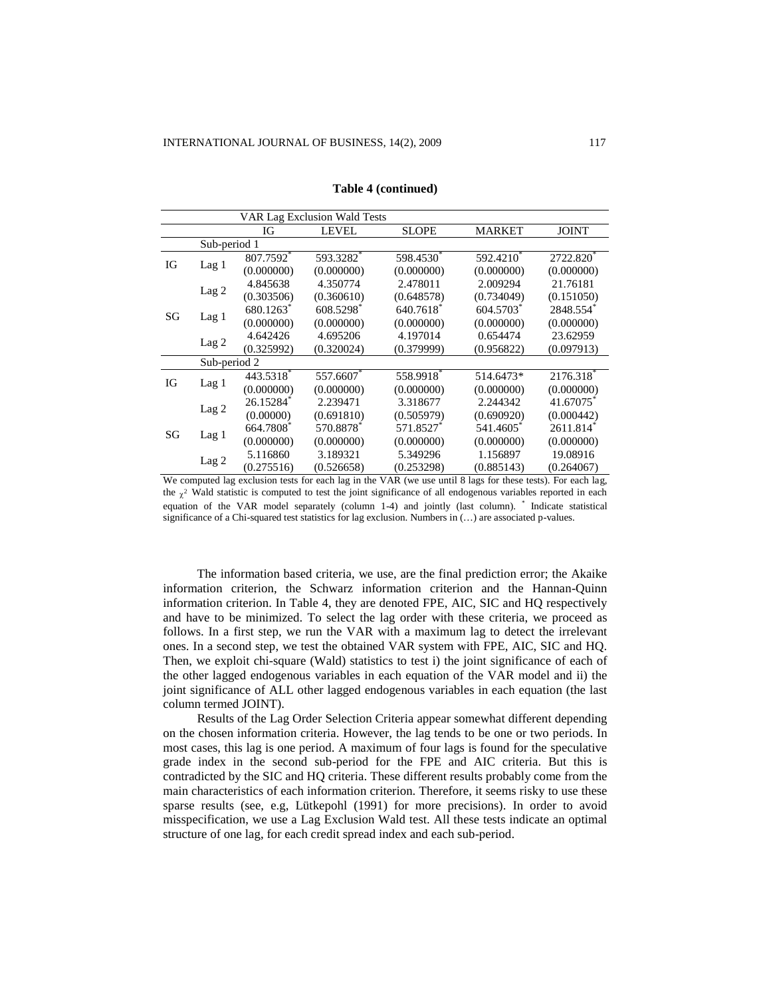|    | VAR Lag Exclusion Wald Tests |            |              |              |               |              |  |
|----|------------------------------|------------|--------------|--------------|---------------|--------------|--|
|    |                              | IG         | <b>LEVEL</b> | <b>SLOPE</b> | <b>MARKET</b> | <b>JOINT</b> |  |
|    | Sub-period 1                 |            |              |              |               |              |  |
|    |                              | 807.7592*  | 593.3282*    | 598.4530*    | 592.4210*     | 2722.820*    |  |
| IG | Lag <sub>1</sub>             | (0.000000) | (0.000000)   | (0.000000)   | (0.000000)    | (0.000000)   |  |
|    |                              | 4.845638   | 4.350774     | 2.478011     | 2.009294      | 21.76181     |  |
|    | Lag <sub>2</sub>             | (0.303506) | (0.360610)   | (0.648578)   | (0.734049)    | (0.151050)   |  |
| SG |                              | 680.1263*  | 608.5298     | 640.7618     | 604.5703      | 2848.554     |  |
|    | Lag <sub>1</sub>             | (0.000000) | (0.000000)   | (0.000000)   | (0.000000)    | (0.000000)   |  |
|    | Lag <sub>2</sub>             | 4.642426   | 4.695206     | 4.197014     | 0.654474      | 23.62959     |  |
|    |                              | (0.325992) | (0.320024)   | (0.379999)   | (0.956822)    | (0.097913)   |  |
|    | Sub-period 2                 |            |              |              |               |              |  |
| IG |                              | 443.5318   | 557.6607     | 558.9918     | 514.6473*     | 2176.318     |  |
|    | Lag 1                        | (0.000000) | (0.000000)   | (0.000000)   | (0.000000)    | (0.000000)   |  |
|    |                              | 26.15284*  | 2.239471     | 3.318677     | 2.244342      | 41.67075*    |  |
| SG | Lag <sub>2</sub>             | (0.00000)  | (0.691810)   | (0.505979)   | (0.690920)    | (0.000442)   |  |
|    |                              | 664.7808*  | 570.8878*    | 571.8527*    | 541.4605*     | 2611.814     |  |
|    | Lag <sub>1</sub>             | (0.000000) | (0.000000)   | (0.000000)   | (0.000000)    | (0.000000)   |  |
|    |                              | 5.116860   | 3.189321     | 5.349296     | 1.156897      | 19.08916     |  |
|    | Lag <sub>2</sub>             | (0.275516) | (0.526658)   | (0.253298)   | (0.885143)    | (0.264067)   |  |

**Table 4 (continued)**

We computed lag exclusion tests for each lag in the VAR (we use until 8 lags for these tests). For each lag, the  $\chi^2$  Wald statistic is computed to test the joint significance of all endogenous variables reported in each equation of the VAR model separately (column 1-4) and jointly (last column). \* Indicate statistical significance of a Chi-squared test statistics for lag exclusion. Numbers in  $(...)$  are associated p-values.

The information based criteria, we use, are the final prediction error; the Akaike information criterion, the Schwarz information criterion and the Hannan-Quinn information criterion. In Table 4, they are denoted FPE, AIC, SIC and HQ respectively and have to be minimized. To select the lag order with these criteria, we proceed as follows. In a first step, we run the VAR with a maximum lag to detect the irrelevant ones. In a second step, we test the obtained VAR system with FPE, AIC, SIC and HQ. Then, we exploit chi-square (Wald) statistics to test i) the joint significance of each of the other lagged endogenous variables in each equation of the VAR model and ii) the joint significance of ALL other lagged endogenous variables in each equation (the last column termed JOINT).

Results of the Lag Order Selection Criteria appear somewhat different depending on the chosen information criteria. However, the lag tends to be one or two periods. In most cases, this lag is one period. A maximum of four lags is found for the speculative grade index in the second sub-period for the FPE and AIC criteria. But this is contradicted by the SIC and HQ criteria. These different results probably come from the main characteristics of each information criterion. Therefore, it seems risky to use these sparse results (see, e.g, Lütkepohl (1991) for more precisions). In order to avoid misspecification, we use a Lag Exclusion Wald test. All these tests indicate an optimal structure of one lag, for each credit spread index and each sub-period.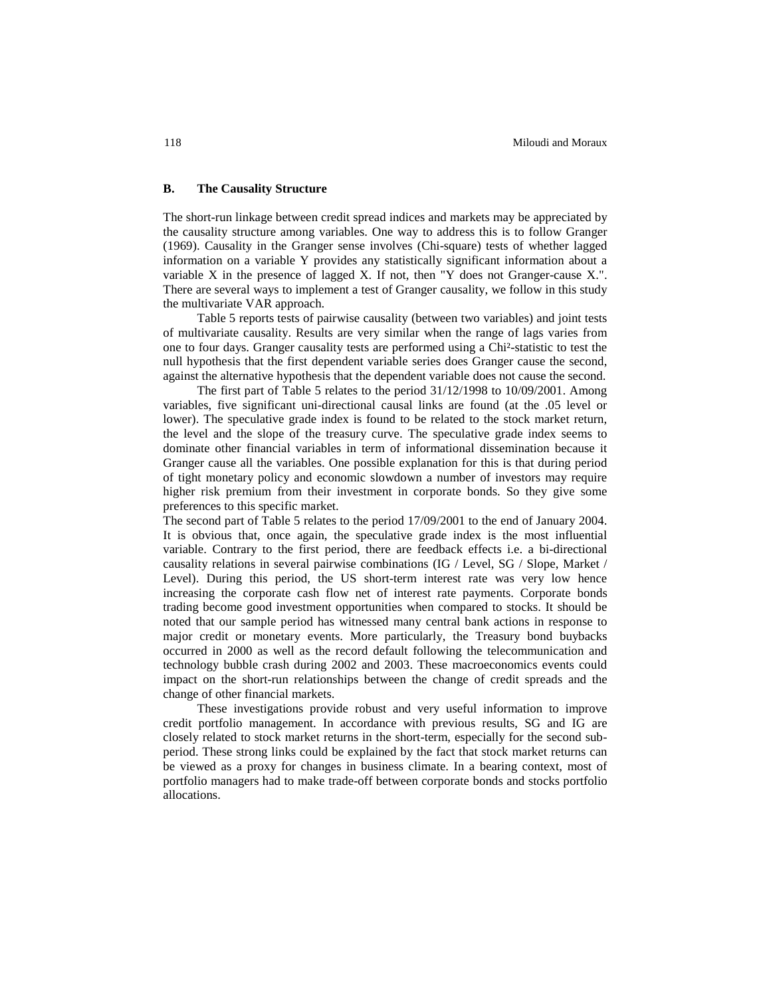# **B. The Causality Structure**

The short-run linkage between credit spread indices and markets may be appreciated by the causality structure among variables. One way to address this is to follow Granger (1969). Causality in the Granger sense involves (Chi-square) tests of whether lagged information on a variable Y provides any statistically significant information about a variable X in the presence of lagged X. If not, then "Y does not Granger-cause X.". There are several ways to implement a test of Granger causality, we follow in this study the multivariate VAR approach.

Table 5 reports tests of pairwise causality (between two variables) and joint tests of multivariate causality. Results are very similar when the range of lags varies from one to four days. Granger causality tests are performed using a Chi²-statistic to test the null hypothesis that the first dependent variable series does Granger cause the second, against the alternative hypothesis that the dependent variable does not cause the second.

The first part of Table 5 relates to the period 31/12/1998 to 10/09/2001. Among variables, five significant uni-directional causal links are found (at the .05 level or lower). The speculative grade index is found to be related to the stock market return, the level and the slope of the treasury curve. The speculative grade index seems to dominate other financial variables in term of informational dissemination because it Granger cause all the variables. One possible explanation for this is that during period of tight monetary policy and economic slowdown a number of investors may require higher risk premium from their investment in corporate bonds. So they give some preferences to this specific market.

The second part of Table 5 relates to the period 17/09/2001 to the end of January 2004. It is obvious that, once again, the speculative grade index is the most influential variable. Contrary to the first period, there are feedback effects i.e. a bi-directional causality relations in several pairwise combinations (IG / Level, SG / Slope, Market / Level). During this period, the US short-term interest rate was very low hence increasing the corporate cash flow net of interest rate payments. Corporate bonds trading become good investment opportunities when compared to stocks. It should be noted that our sample period has witnessed many central bank actions in response to major credit or monetary events. More particularly, the Treasury bond buybacks occurred in 2000 as well as the record default following the telecommunication and technology bubble crash during 2002 and 2003. These macroeconomics events could impact on the short-run relationships between the change of credit spreads and the change of other financial markets.

These investigations provide robust and very useful information to improve credit portfolio management. In accordance with previous results, SG and IG are closely related to stock market returns in the short-term, especially for the second subperiod. These strong links could be explained by the fact that stock market returns can be viewed as a proxy for changes in business climate. In a bearing context, most of portfolio managers had to make trade-off between corporate bonds and stocks portfolio allocations.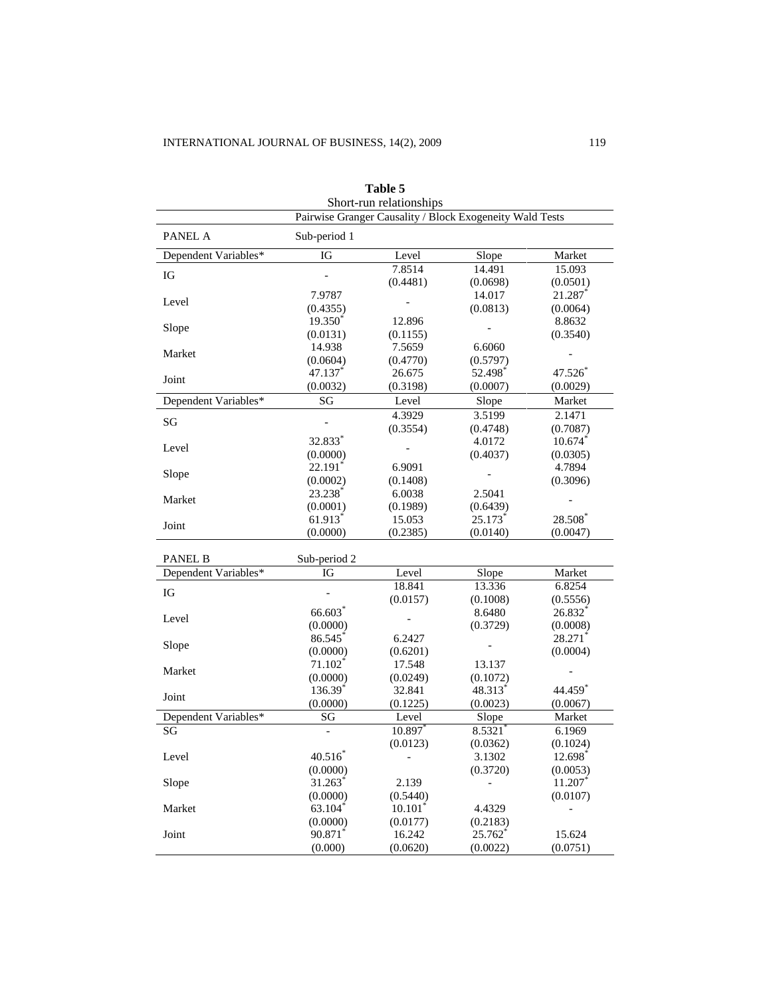| Short-run relationships                                  |                       |                       |          |           |  |  |
|----------------------------------------------------------|-----------------------|-----------------------|----------|-----------|--|--|
| Pairwise Granger Causality / Block Exogeneity Wald Tests |                       |                       |          |           |  |  |
| PANEL A                                                  | Sub-period 1          |                       |          |           |  |  |
| Dependent Variables*                                     | IG                    | Level                 | Slope    | Market    |  |  |
| IG                                                       |                       | 7.8514                | 14.491   | 15.093    |  |  |
|                                                          |                       | (0.4481)              | (0.0698) | (0.0501)  |  |  |
| Level                                                    | 7.9787                |                       | 14.017   | 21.287    |  |  |
|                                                          | (0.4355)              |                       | (0.0813) | (0.0064)  |  |  |
| Slope                                                    | 19.350 <sup>*</sup>   | 12.896                |          | 8.8632    |  |  |
|                                                          | (0.0131)              | (0.1155)              |          | (0.3540)  |  |  |
| Market                                                   | 14.938                | 7.5659                | 6.6060   |           |  |  |
|                                                          | (0.0604)              | (0.4770)              | (0.5797) |           |  |  |
| Joint                                                    | 47.137                | 26.675                | 52.498   | 47.526    |  |  |
|                                                          | (0.0032)              | (0.3198)              | (0.0007) | (0.0029)  |  |  |
| Dependent Variables*                                     | SG                    | Level                 | Slope    | Market    |  |  |
| SG                                                       |                       | 4.3929                | 3.5199   | 2.1471    |  |  |
|                                                          |                       | (0.3554)              | (0.4748) | (0.7087)  |  |  |
| Level                                                    | 32.833*               |                       | 4.0172   | $10.674*$ |  |  |
|                                                          | (0.0000)              |                       | (0.4037) | (0.0305)  |  |  |
| Slope                                                    | 22.191                | 6.9091                |          | 4.7894    |  |  |
|                                                          | (0.0002)              | (0.1408)              |          | (0.3096)  |  |  |
| Market                                                   | 23.238                | 6.0038                | 2.5041   |           |  |  |
|                                                          | (0.0001)              | (0.1989)              | (0.6439) |           |  |  |
| Joint                                                    | 61.913                | 15.053                | 25.173*  | 28.508    |  |  |
|                                                          | (0.0000)              | (0.2385)              | (0.0140) | (0.0047)  |  |  |
| <b>PANEL B</b>                                           |                       |                       |          |           |  |  |
| Dependent Variables*                                     | Sub-period 2<br>IG    | Level                 | Slope    | Market    |  |  |
|                                                          |                       | 18.841                | 13.336   | 6.8254    |  |  |
| IG                                                       |                       | (0.0157)              | (0.1008) | (0.5556)  |  |  |
|                                                          | 66.603                |                       | 8.6480   | 26.832    |  |  |
| Level                                                    | (0.0000)              |                       | (0.3729) | (0.0008)  |  |  |
|                                                          | 86.545                | 6.2427                |          | 28.271    |  |  |
| Slope                                                    | (0.0000)              | (0.6201)              |          | (0.0004)  |  |  |
|                                                          | $71.102$ <sup>*</sup> | 17.548                | 13.137   |           |  |  |
| Market                                                   | (0.0000)              | (0.0249)              | (0.1072) |           |  |  |
|                                                          | 136.39 <sup>*</sup>   | 32.841                | 48.313*  | 44.459    |  |  |
| Joint                                                    | (0.0000)              | (0.1225)              | (0.0023) | (0.0067)  |  |  |
| Dependent Variables*                                     | SG                    | Level                 | Slope    | Market    |  |  |
| SG                                                       |                       | $10.897$ *            | 8.5321   | 6.1969    |  |  |
|                                                          |                       | (0.0123)              | (0.0362) | (0.1024)  |  |  |
| Level                                                    | $40.516*$             |                       | 3.1302   | 12.698    |  |  |
|                                                          | (0.0000)              |                       | (0.3720) | (0.0053)  |  |  |
| Slope                                                    | 31.263*               | 2.139                 |          | 11.207    |  |  |
|                                                          | (0.0000)              | (0.5440)              |          | (0.0107)  |  |  |
| Market                                                   | 63.104 $*$            | $10.101$ <sup>*</sup> | 4.4329   |           |  |  |
|                                                          | (0.0000)              | (0.0177)              | (0.2183) |           |  |  |
| Joint                                                    | 90.871                | 16.242                | 25.762   | 15.624    |  |  |
|                                                          | (0.000)               | (0.0620)              | (0.0022) | (0.0751)  |  |  |

**Table 5**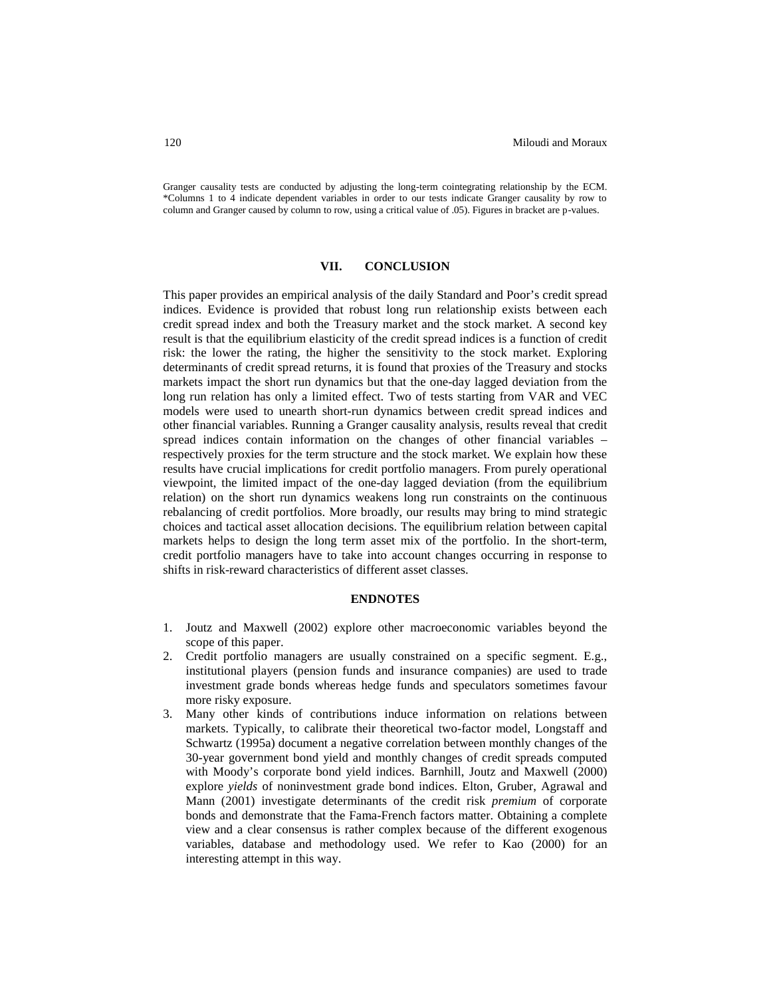Granger causality tests are conducted by adjusting the long-term cointegrating relationship by the ECM. \*Columns 1 to 4 indicate dependent variables in order to our tests indicate Granger causality by row to column and Granger caused by column to row, using a critical value of .05). Figures in bracket are p-values.

#### **VII. CONCLUSION**

This paper provides an empirical analysis of the daily Standard and Poor's credit spread indices. Evidence is provided that robust long run relationship exists between each credit spread index and both the Treasury market and the stock market. A second key result is that the equilibrium elasticity of the credit spread indices is a function of credit risk: the lower the rating, the higher the sensitivity to the stock market. Exploring determinants of credit spread returns, it is found that proxies of the Treasury and stocks markets impact the short run dynamics but that the one-day lagged deviation from the long run relation has only a limited effect. Two of tests starting from VAR and VEC models were used to unearth short-run dynamics between credit spread indices and other financial variables. Running a Granger causality analysis, results reveal that credit spread indices contain information on the changes of other financial variables – respectively proxies for the term structure and the stock market. We explain how these results have crucial implications for credit portfolio managers. From purely operational viewpoint, the limited impact of the one-day lagged deviation (from the equilibrium relation) on the short run dynamics weakens long run constraints on the continuous rebalancing of credit portfolios. More broadly, our results may bring to mind strategic choices and tactical asset allocation decisions. The equilibrium relation between capital markets helps to design the long term asset mix of the portfolio. In the short-term, credit portfolio managers have to take into account changes occurring in response to shifts in risk-reward characteristics of different asset classes.

#### **ENDNOTES**

- 1. Joutz and Maxwell (2002) explore other macroeconomic variables beyond the scope of this paper.
- 2. Credit portfolio managers are usually constrained on a specific segment. E.g., institutional players (pension funds and insurance companies) are used to trade investment grade bonds whereas hedge funds and speculators sometimes favour more risky exposure.
- 3. Many other kinds of contributions induce information on relations between markets. Typically, to calibrate their theoretical two-factor model, Longstaff and Schwartz (1995a) document a negative correlation between monthly changes of the 30-year government bond yield and monthly changes of credit spreads computed with Moody's corporate bond yield indices. Barnhill, Joutz and Maxwell (2000) explore *yields* of noninvestment grade bond indices. Elton, Gruber, Agrawal and Mann (2001) investigate determinants of the credit risk *premium* of corporate bonds and demonstrate that the Fama-French factors matter. Obtaining a complete view and a clear consensus is rather complex because of the different exogenous variables, database and methodology used. We refer to Kao (2000) for an interesting attempt in this way.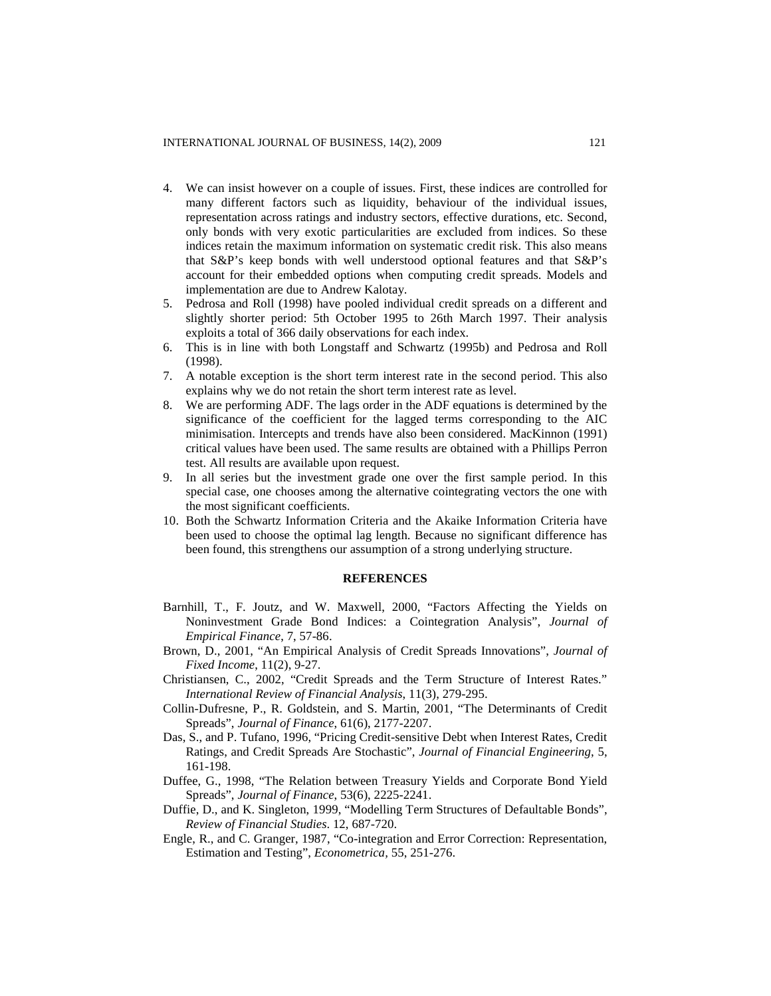- 4. We can insist however on a couple of issues. First, these indices are controlled for many different factors such as liquidity, behaviour of the individual issues, representation across ratings and industry sectors, effective durations, etc. Second, only bonds with very exotic particularities are excluded from indices. So these indices retain the maximum information on systematic credit risk. This also means that S&P's keep bonds with well understood optional features and that S&P's account for their embedded options when computing credit spreads. Models and implementation are due to Andrew Kalotay.
- 5. Pedrosa and Roll (1998) have pooled individual credit spreads on a different and slightly shorter period: 5th October 1995 to 26th March 1997. Their analysis exploits a total of 366 daily observations for each index.
- 6. This is in line with both Longstaff and Schwartz (1995b) and Pedrosa and Roll (1998).
- 7. A notable exception is the short term interest rate in the second period. This also explains why we do not retain the short term interest rate as level.
- 8. We are performing ADF. The lags order in the ADF equations is determined by the significance of the coefficient for the lagged terms corresponding to the AIC minimisation. Intercepts and trends have also been considered. MacKinnon (1991) critical values have been used. The same results are obtained with a Phillips Perron test. All results are available upon request.
- 9. In all series but the investment grade one over the first sample period. In this special case, one chooses among the alternative cointegrating vectors the one with the most significant coefficients.
- 10. Both the Schwartz Information Criteria and the Akaike Information Criteria have been used to choose the optimal lag length. Because no significant difference has been found, this strengthens our assumption of a strong underlying structure.

# **REFERENCES**

- Barnhill, T., F. Joutz, and W. Maxwell, 2000, "Factors Affecting the Yields on Noninvestment Grade Bond Indices: a Cointegration Analysis", *Journal of Empirical Finance*, 7, 57-86.
- Brown, D., 2001, "An Empirical Analysis of Credit Spreads Innovations", *Journal of Fixed Income*, 11(2), 9-27.
- Christiansen, C., 2002, "Credit Spreads and the Term Structure of Interest Rates." *International Review of Financial Analysis*, 11(3), 279-295.
- Collin-Dufresne, P., R. Goldstein, and S. Martin, 2001, "The Determinants of Credit Spreads", *Journal of Finance*, 61(6), 2177-2207.
- Das, S., and P. Tufano, 1996, "Pricing Credit-sensitive Debt when Interest Rates, Credit Ratings, and Credit Spreads Are Stochastic", *Journal of Financial Engineering*, 5, 161-198.
- Duffee, G., 1998, "The Relation between Treasury Yields and Corporate Bond Yield Spreads", *Journal of Finance*, 53(6), 2225-2241.
- Duffie, D., and K. Singleton, 1999, "Modelling Term Structures of Defaultable Bonds", *Review of Financial Studies*. 12, 687-720.
- Engle, R., and C. Granger, 1987, "Co-integration and Error Correction: Representation, Estimation and Testing", *Econometrica,* 55, 251-276.